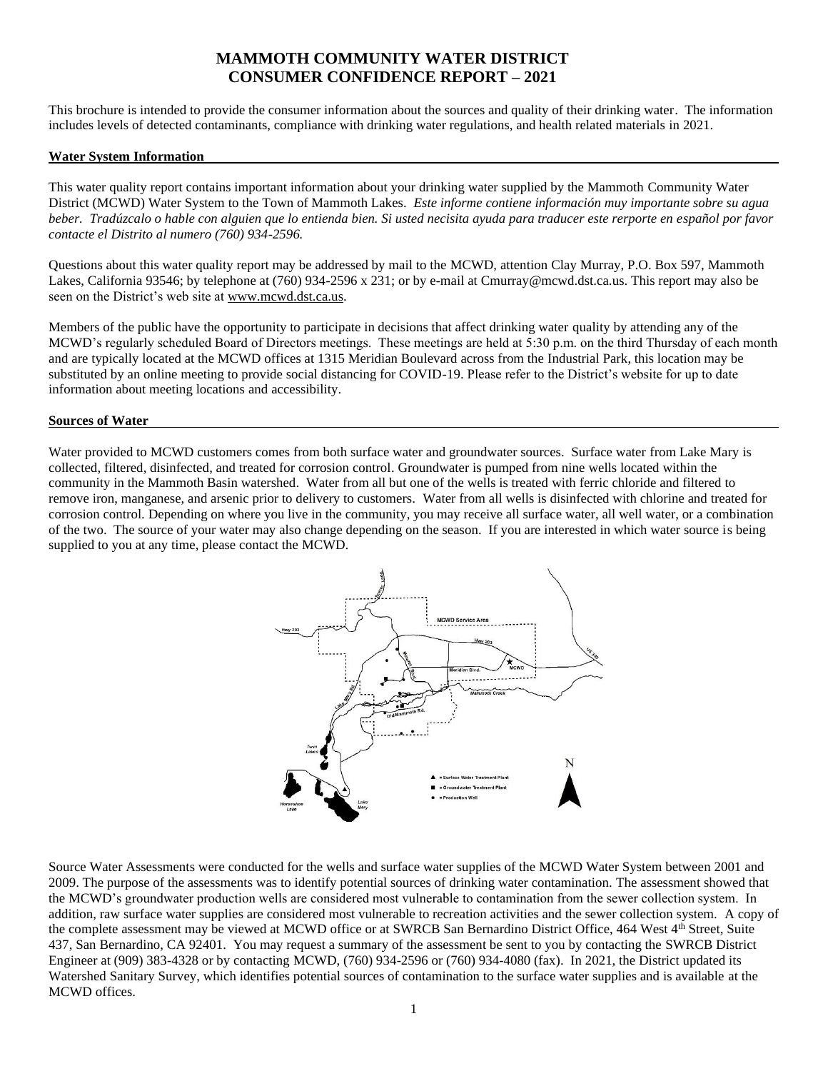# **MAMMOTH COMMUNITY WATER DISTRICT CONSUMER CONFIDENCE REPORT – 2021**

This brochure is intended to provide the consumer information about the sources and quality of their drinking water. The information includes levels of detected contaminants, compliance with drinking water regulations, and health related materials in 2021.

#### **Water System Information**

This water quality report contains important information about your drinking water supplied by the Mammoth Community Water District (MCWD) Water System to the Town of Mammoth Lakes. *Este informe contiene información muy importante sobre su agua beber. Tradúzcalo o hable con alguien que lo entienda bien. Si usted necisita ayuda para traducer este rerporte en español por favor contacte el Distrito al numero (760) 934-2596.*

Questions about this water quality report may be addressed by mail to the MCWD, attention Clay Murray, P.O. Box 597, Mammoth Lakes, California 93546; by telephone at (760) 934-2596 x 231; or by e-mail at Cmurray@mcwd.dst.ca.us. This report may also be seen on the District's web site at [www.mcwd.dst.ca.us.](http://www.mcwd.dst.ca.us/)

Members of the public have the opportunity to participate in decisions that affect drinking water quality by attending any of the MCWD's regularly scheduled Board of Directors meetings. These meetings are held at 5:30 p.m. on the third Thursday of each month and are typically located at the MCWD offices at 1315 Meridian Boulevard across from the Industrial Park, this location may be substituted by an online meeting to provide social distancing for COVID-19. Please refer to the District's website for up to date information about meeting locations and accessibility.

#### **Sources of Water**

Water provided to MCWD customers comes from both surface water and groundwater sources. Surface water from Lake Mary is collected, filtered, disinfected, and treated for corrosion control. Groundwater is pumped from nine wells located within the community in the Mammoth Basin watershed. Water from all but one of the wells is treated with ferric chloride and filtered to remove iron, manganese, and arsenic prior to delivery to customers. Water from all wells is disinfected with chlorine and treated for corrosion control. Depending on where you live in the community, you may receive all surface water, all well water, or a combination of the two. The source of your water may also change depending on the season. If you are interested in which water source is being supplied to you at any time, please contact the MCWD.



Source Water Assessments were conducted for the wells and surface water supplies of the MCWD Water System between 2001 and 2009. The purpose of the assessments was to identify potential sources of drinking water contamination. The assessment showed that the MCWD's groundwater production wells are considered most vulnerable to contamination from the sewer collection system. In addition, raw surface water supplies are considered most vulnerable to recreation activities and the sewer collection system. A copy of the complete assessment may be viewed at MCWD office or at SWRCB San Bernardino District Office, 464 West 4th Street, Suite 437, San Bernardino, CA 92401. You may request a summary of the assessment be sent to you by contacting the SWRCB District Engineer at (909) 383-4328 or by contacting MCWD, (760) 934-2596 or (760) 934-4080 (fax). In 2021, the District updated its Watershed Sanitary Survey, which identifies potential sources of contamination to the surface water supplies and is available at the MCWD offices.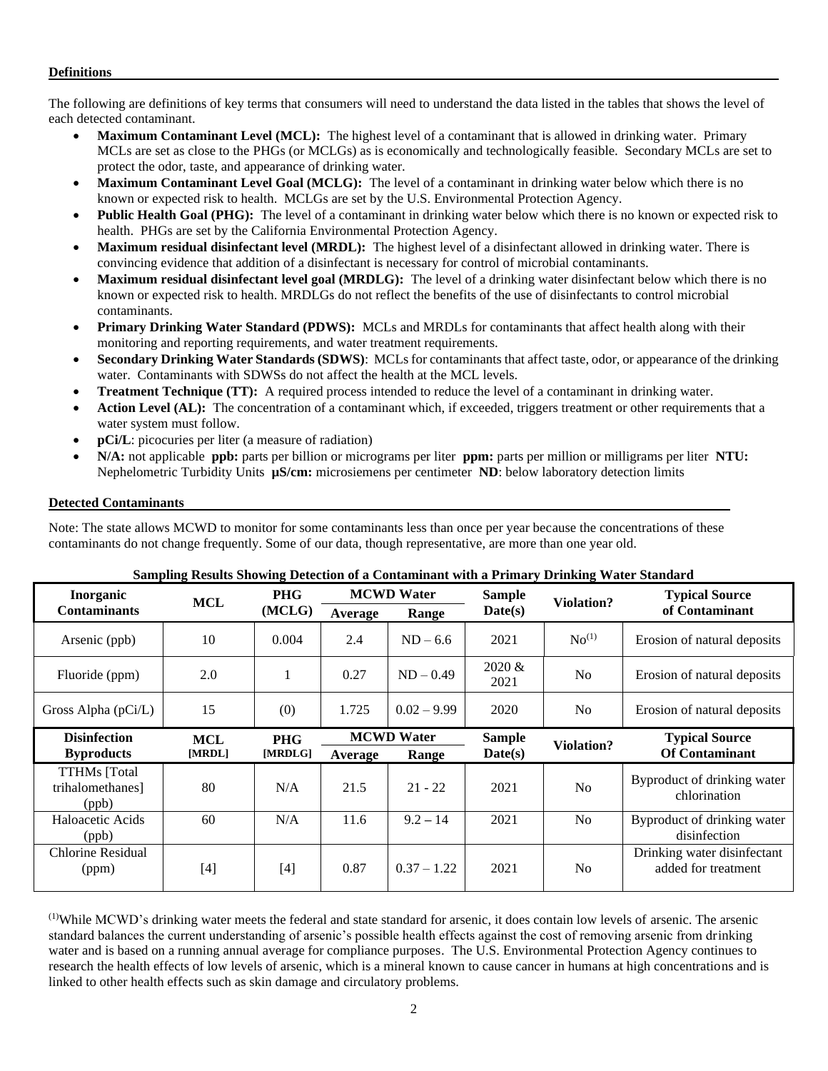#### **Definitions**

The following are definitions of key terms that consumers will need to understand the data listed in the tables that shows the level of each detected contaminant.

- **Maximum Contaminant Level (MCL):** The highest level of a contaminant that is allowed in drinking water. Primary MCLs are set as close to the PHGs (or MCLGs) as is economically and technologically feasible. Secondary MCLs are set to protect the odor, taste, and appearance of drinking water.
- **Maximum Contaminant Level Goal (MCLG):** The level of a contaminant in drinking water below which there is no known or expected risk to health. MCLGs are set by the U.S. Environmental Protection Agency.
- **Public Health Goal (PHG):** The level of a contaminant in drinking water below which there is no known or expected risk to health. PHGs are set by the California Environmental Protection Agency.
- **Maximum residual disinfectant level (MRDL):** The highest level of a disinfectant allowed in drinking water. There is convincing evidence that addition of a disinfectant is necessary for control of microbial contaminants.
- **Maximum residual disinfectant level goal (MRDLG):** The level of a drinking water disinfectant below which there is no known or expected risk to health. MRDLGs do not reflect the benefits of the use of disinfectants to control microbial contaminants.
- **Primary Drinking Water Standard (PDWS):** MCLs and MRDLs for contaminants that affect health along with their monitoring and reporting requirements, and water treatment requirements.
- **Secondary Drinking Water Standards (SDWS)**:MCLs for contaminants that affect taste, odor, or appearance of the drinking water. Contaminants with SDWSs do not affect the health at the MCL levels.
- **Treatment Technique (TT):** A required process intended to reduce the level of a contaminant in drinking water.
- Action Level (AL): The concentration of a contaminant which, if exceeded, triggers treatment or other requirements that a water system must follow.
- **pCi/L**: picocuries per liter (a measure of radiation)
- **N/A:** not applicable **ppb:** parts per billion or micrograms per liter **ppm:** parts per million or milligrams per liter **NTU:**  Nephelometric Turbidity Units **µS/cm:** microsiemens per centimeter **ND**: below laboratory detection limits

#### **Detected Contaminants**

Note: The state allows MCWD to monitor for some contaminants less than once per year because the concentrations of these contaminants do not change frequently. Some of our data, though representative, are more than one year old.

| Bamping Results Showing Detection of a Contaminant with a Frimaly Drimang water Standard |                                               |            |                   |               |                       |                   |                                                    |  |
|------------------------------------------------------------------------------------------|-----------------------------------------------|------------|-------------------|---------------|-----------------------|-------------------|----------------------------------------------------|--|
| Inorganic                                                                                | <b>MCL</b>                                    | <b>PHG</b> | <b>MCWD Water</b> |               | <b>Sample</b>         | <b>Violation?</b> | <b>Typical Source</b>                              |  |
| <b>Contaminants</b>                                                                      |                                               | (MCLG)     | Average           | Range         | Date(s)               |                   | of Contaminant                                     |  |
| Arsenic (ppb)                                                                            | 10                                            | 0.004      | 2.4               | $ND - 6.6$    | 2021                  | No <sup>(1)</sup> | Erosion of natural deposits                        |  |
| Fluoride (ppm)                                                                           | 2.0                                           |            | 0.27              | $ND - 0.49$   | $2020 \&$<br>2021     | N <sub>o</sub>    | Erosion of natural deposits                        |  |
| Gross Alpha (pCi/L)                                                                      | 15                                            | (0)        | 1.725             | $0.02 - 9.99$ | 2020                  | N <sub>o</sub>    | Erosion of natural deposits                        |  |
| <b>Disinfection</b>                                                                      | <b>MCWD Water</b><br><b>MCL</b><br><b>PHG</b> |            | <b>Sample</b>     |               | <b>Typical Source</b> |                   |                                                    |  |
| <b>Byproducts</b>                                                                        | [MRDL]                                        | [MRDLG]    | Average           | Range         | Date(s)               | <b>Violation?</b> | <b>Of Contaminant</b>                              |  |
| <b>TTHMs</b> [Total<br>trihalomethanes]<br>(ppb)                                         | 80                                            | N/A        | 21.5              | $21 - 22$     | 2021                  | No                | Byproduct of drinking water<br>chlorination        |  |
| Haloacetic Acids<br>(ppb)                                                                | 60                                            | N/A        | 11.6              | $9.2 - 14$    | 2021                  | No                | Byproduct of drinking water<br>disinfection        |  |
| Chlorine Residual<br>(ppm)                                                               | $[4]$                                         | [4]        | 0.87              | $0.37 - 1.22$ | 2021                  | N <sub>o</sub>    | Drinking water disinfectant<br>added for treatment |  |

### **Sampling Results Showing Detection of a Contaminant with a Primary Drinking Water Standard**

(1)While MCWD's drinking water meets the federal and state standard for arsenic, it does contain low levels of arsenic. The arsenic standard balances the current understanding of arsenic's possible health effects against the cost of removing arsenic from drinking water and is based on a running annual average for compliance purposes. The U.S. Environmental Protection Agency continues to research the health effects of low levels of arsenic, which is a mineral known to cause cancer in humans at high concentrations and is linked to other health effects such as skin damage and circulatory problems.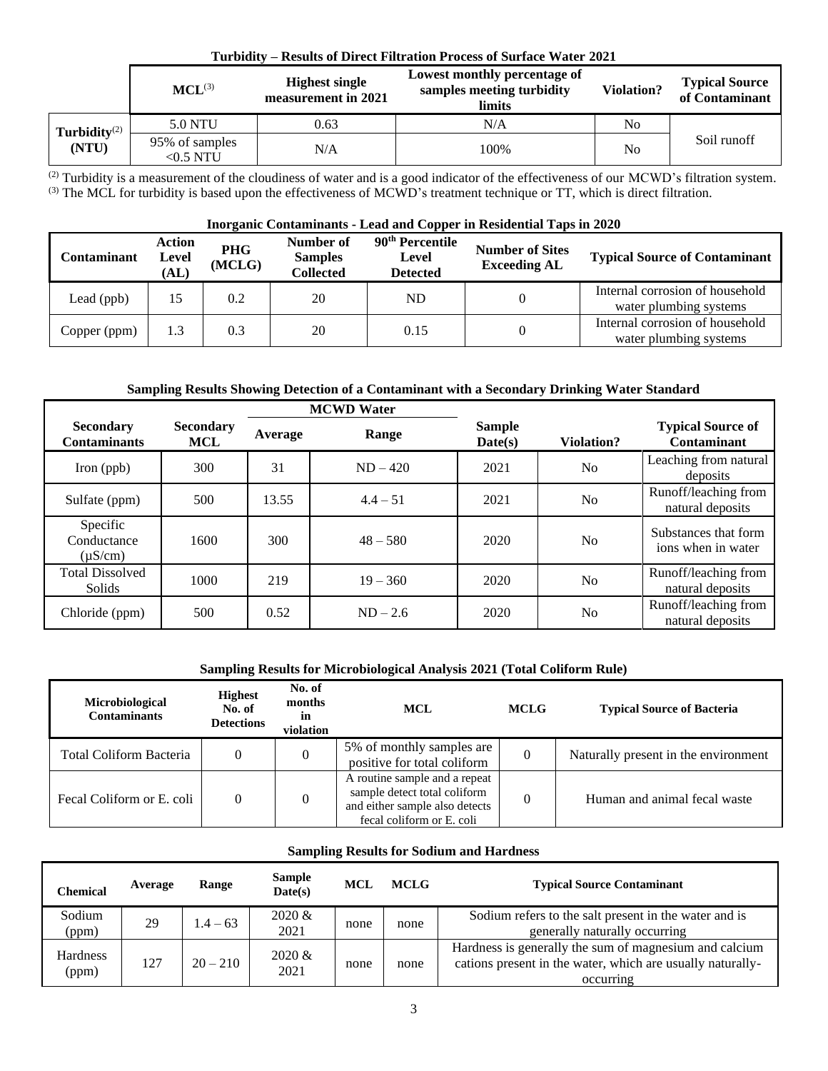| Turbidity – Results of Direct Filtration Process of Surface Water 2021 |                               |                                              |                                                                     |                   |                                         |  |  |  |
|------------------------------------------------------------------------|-------------------------------|----------------------------------------------|---------------------------------------------------------------------|-------------------|-----------------------------------------|--|--|--|
|                                                                        | $MCL^{(3)}$                   | <b>Highest single</b><br>measurement in 2021 | Lowest monthly percentage of<br>samples meeting turbidity<br>limits | <b>Violation?</b> | <b>Typical Source</b><br>of Contaminant |  |  |  |
| Turbidity $(2)$                                                        | 5.0 NTU                       | 0.63                                         | N/A                                                                 | No                |                                         |  |  |  |
| (NTU)                                                                  | 95% of samples<br>$<$ 0.5 NTU | N/A                                          | 100%                                                                | No                | Soil runoff                             |  |  |  |

 $^{(2)}$  Turbidity is a measurement of the cloudiness of water and is a good indicator of the effectiveness of our MCWD's filtration system.  $(3)$  The MCL for turbidity is based upon the effectiveness of MCWD's treatment technique or TT, which is direct filtration.

# **Inorganic Contaminants - Lead and Copper in Residential Taps in 2020**

| <b>Contaminant</b> | Action<br>Level<br>(AL) | <b>PHG</b><br>(MCLG) | Number of<br><b>Samples</b><br><b>Collected</b> | 90 <sup>th</sup> Percentile<br>Level<br><b>Detected</b> | <b>Number of Sites</b><br><b>Exceeding AL</b> | <b>Typical Source of Contaminant</b>                      |
|--------------------|-------------------------|----------------------|-------------------------------------------------|---------------------------------------------------------|-----------------------------------------------|-----------------------------------------------------------|
| Lead (ppb)         |                         | 0.2                  | 20                                              | ND                                                      | 0                                             | Internal corrosion of household<br>water plumbing systems |
| Copper (ppm)       | 1.3                     | 0.3                  | 20                                              | 0.15                                                    | 0                                             | Internal corrosion of household<br>water plumbing systems |

# **Sampling Results Showing Detection of a Contaminant with a Secondary Drinking Water Standard**

|                                         |                         |         | <b>MCWD</b> Water |                          |                |                                            |
|-----------------------------------------|-------------------------|---------|-------------------|--------------------------|----------------|--------------------------------------------|
| <b>Secondary</b><br><b>Contaminants</b> | <b>Secondary</b><br>MCL | Average | Range             | <b>Sample</b><br>Date(s) | Violation?     | <b>Typical Source of</b><br>Contaminant    |
| Iron (ppb)                              | 300                     | 31      | $ND - 420$        | 2021                     | N <sub>o</sub> | Leaching from natural<br>deposits          |
| Sulfate (ppm)                           | 500                     | 13.55   | $4.4 - 51$        | 2021                     | N <sub>o</sub> | Runoff/leaching from<br>natural deposits   |
| Specific<br>Conductance<br>$(\mu S/cm)$ | 1600                    | 300     | $48 - 580$        | 2020                     | N <sub>o</sub> | Substances that form<br>ions when in water |
| <b>Total Dissolved</b><br><b>Solids</b> | 1000                    | 219     | $19 - 360$        | 2020                     | N <sub>o</sub> | Runoff/leaching from<br>natural deposits   |
| Chloride (ppm)                          | 500                     | 0.52    | $ND - 2.6$        | 2020                     | N <sub>o</sub> | Runoff/leaching from<br>natural deposits   |

### **Sampling Results for Microbiological Analysis 2021 (Total Coliform Rule)**

| <b>Microbiological</b><br><b>Contaminants</b> | <b>Highest</b><br>No. of<br><b>Detections</b> | No. of<br>months<br>in<br>violation | <b>MCL</b>                                                                                                                   | <b>MCLG</b> | <b>Typical Source of Bacteria</b>    |  |
|-----------------------------------------------|-----------------------------------------------|-------------------------------------|------------------------------------------------------------------------------------------------------------------------------|-------------|--------------------------------------|--|
| Total Coliform Bacteria                       |                                               | 0                                   | 5% of monthly samples are<br>positive for total coliform                                                                     |             | Naturally present in the environment |  |
| Fecal Coliform or E. coli                     |                                               | 0                                   | A routine sample and a repeat<br>sample detect total coliform<br>and either sample also detects<br>fecal coliform or E. coli |             | Human and animal fecal waste         |  |

# **Sampling Results for Sodium and Hardness**

| <b>Chemical</b>   | Average | Range      | <b>Sample</b><br>Date(s) | <b>MCL</b> | <b>MCLG</b> | <b>Typical Source Contaminant</b>                                                                                                 |
|-------------------|---------|------------|--------------------------|------------|-------------|-----------------------------------------------------------------------------------------------------------------------------------|
| Sodium<br>(ppm)   | 29      | $1.4 - 63$ | $2020 \&$<br>2021        | none       | none        | Sodium refers to the salt present in the water and is<br>generally naturally occurring                                            |
| Hardness<br>(ppm) | 127     | $20 - 210$ | $2020 \&$<br>2021        | none       | none        | Hardness is generally the sum of magnesium and calcium<br>cations present in the water, which are usually naturally-<br>occurring |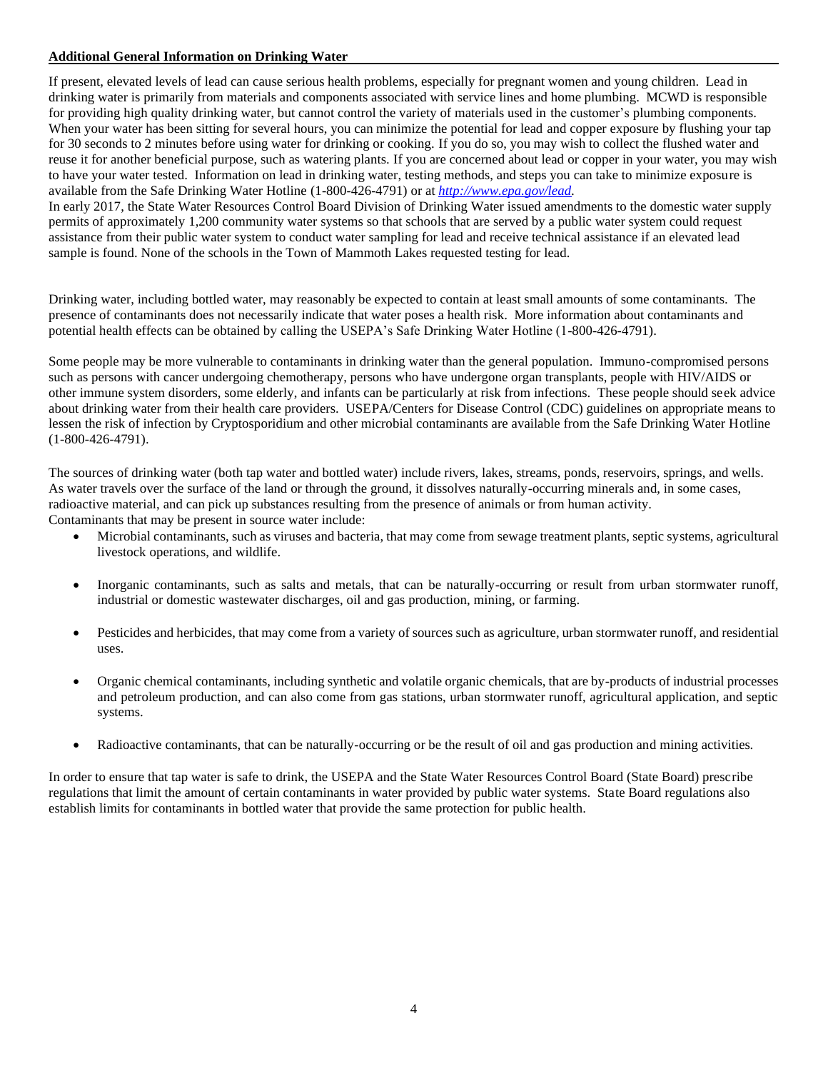### **Additional General Information on Drinking Water**

If present, elevated levels of lead can cause serious health problems, especially for pregnant women and young children. Lead in drinking water is primarily from materials and components associated with service lines and home plumbing. MCWD is responsible for providing high quality drinking water, but cannot control the variety of materials used in the customer's plumbing components. When your water has been sitting for several hours, you can minimize the potential for lead and copper exposure by flushing your tap for 30 seconds to 2 minutes before using water for drinking or cooking. If you do so, you may wish to collect the flushed water and reuse it for another beneficial purpose, such as watering plants. If you are concerned about lead or copper in your water, you may wish to have your water tested. Information on lead in drinking water, testing methods, and steps you can take to minimize exposure is available from the Safe Drinking Water Hotline (1-800-426-4791) or at *[http://www.epa.gov/lead.](http://www.epa.gov/lead)*

In early 2017, the State Water Resources Control Board Division of Drinking Water issued amendments to the domestic water supply permits of approximately 1,200 community water systems so that schools that are served by a public water system could request assistance from their public water system to conduct water sampling for lead and receive technical assistance if an elevated lead sample is found. None of the schools in the Town of Mammoth Lakes requested testing for lead.

Drinking water, including bottled water, may reasonably be expected to contain at least small amounts of some contaminants. The presence of contaminants does not necessarily indicate that water poses a health risk. More information about contaminants and potential health effects can be obtained by calling the USEPA's Safe Drinking Water Hotline (1-800-426-4791).

Some people may be more vulnerable to contaminants in drinking water than the general population. Immuno-compromised persons such as persons with cancer undergoing chemotherapy, persons who have undergone organ transplants, people with HIV/AIDS or other immune system disorders, some elderly, and infants can be particularly at risk from infections. These people should seek advice about drinking water from their health care providers. USEPA/Centers for Disease Control (CDC) guidelines on appropriate means to lessen the risk of infection by Cryptosporidium and other microbial contaminants are available from the Safe Drinking Water Hotline (1-800-426-4791).

The sources of drinking water (both tap water and bottled water) include rivers, lakes, streams, ponds, reservoirs, springs, and wells. As water travels over the surface of the land or through the ground, it dissolves naturally-occurring minerals and, in some cases, radioactive material, and can pick up substances resulting from the presence of animals or from human activity. Contaminants that may be present in source water include:

- Microbial contaminants, such as viruses and bacteria, that may come from sewage treatment plants, septic systems, agricultural livestock operations, and wildlife.
- Inorganic contaminants, such as salts and metals, that can be naturally-occurring or result from urban stormwater runoff, industrial or domestic wastewater discharges, oil and gas production, mining, or farming.
- Pesticides and herbicides, that may come from a variety of sources such as agriculture, urban stormwater runoff, and residential uses.
- Organic chemical contaminants, including synthetic and volatile organic chemicals, that are by-products of industrial processes and petroleum production, and can also come from gas stations, urban stormwater runoff, agricultural application, and septic systems.
- Radioactive contaminants, that can be naturally-occurring or be the result of oil and gas production and mining activities.

In order to ensure that tap water is safe to drink, the USEPA and the State Water Resources Control Board (State Board) prescribe regulations that limit the amount of certain contaminants in water provided by public water systems. State Board regulations also establish limits for contaminants in bottled water that provide the same protection for public health.